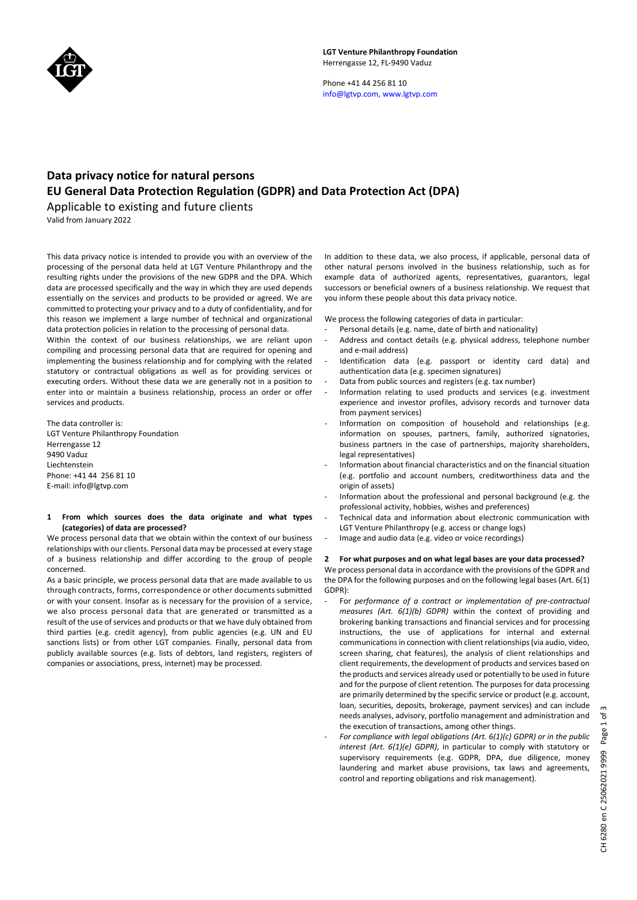

Phone +41 44 256 81 10 info@lgtvp.com, www.lgtvp.com

# **Data privacy notice for natural persons EU General Data Protection Regulation (GDPR) and Data Protection Act (DPA)**

Applicable to existing and future clients Valid from January 2022

This data privacy notice is intended to provide you with an overview of the processing of the personal data held at LGT Venture Philanthropy and the resulting rights under the provisions of the new GDPR and the DPA. Which data are processed specifically and the way in which they are used depends essentially on the services and products to be provided or agreed. We are committed to protecting your privacy and to a duty of confidentiality, and for this reason we implement a large number of technical and organizational data protection policies in relation to the processing of personal data.

Within the context of our business relationships, we are reliant upon compiling and processing personal data that are required for opening and implementing the business relationship and for complying with the related statutory or contractual obligations as well as for providing services or executing orders. Without these data we are generally not in a position to enter into or maintain a business relationship, process an order or offer services and products.

The data controller is: LGT Venture Philanthropy Foundation Herrengasse 12 9490 Vaduz Liechtenstein Phone: +41 44 256 81 10 E-mail: info@lgtvp.com

### **1 From which sources does the data originate and what types (categories) of data are processed?**

We process personal data that we obtain within the context of our business relationships with our clients. Personal data may be processed at every stage of a business relationship and differ according to the group of people concerned.

As a basic principle, we process personal data that are made available to us through contracts, forms, correspondence or other documents submitted or with your consent. Insofar as is necessary for the provision of a service, we also process personal data that are generated or transmitted as a result of the use of services and products or that we have duly obtained from third parties (e.g. credit agency), from public agencies (e.g. UN and EU sanctions lists) or from other LGT companies. Finally, personal data from publicly available sources (e.g. lists of debtors, land registers, registers of companies or associations, press, internet) may be processed.

In addition to these data, we also process, if applicable, personal data of other natural persons involved in the business relationship, such as for example data of authorized agents, representatives, guarantors, legal successors or beneficial owners of a business relationship. We request that you inform these people about this data privacy notice.

We process the following categories of data in particular:

- Personal details (e.g. name, date of birth and nationality)
- Address and contact details (e.g. physical address, telephone number and e-mail address)
- Identification data (e.g. passport or identity card data) and authentication data (e.g. specimen signatures)
- Data from public sources and registers (e.g. tax number)
- Information relating to used products and services (e.g. investment experience and investor profiles, advisory records and turnover data from payment services)
- Information on composition of household and relationships (e.g. information on spouses, partners, family, authorized signatories, business partners in the case of partnerships, majority shareholders, legal representatives)
- Information about financial characteristics and on the financial situation (e.g. portfolio and account numbers, creditworthiness data and the origin of assets)
- Information about the professional and personal background (e.g. the professional activity, hobbies, wishes and preferences)
- Technical data and information about electronic communication with LGT Venture Philanthropy (e.g. access or change logs)
- Image and audio data (e.g. video or voice recordings)

## **2 For what purposes and on what legal bases are your data processed?**

We process personal data in accordance with the provisions of the GDPR and the DPA for the following purposes and on the following legal bases (Art. 6(1) GDPR):

- For *performance of a contract or implementation of pre-contractual measures (Art. 6(1)(b) GDPR)* within the context of providing and brokering banking transactions and financial services and for processing instructions, the use of applications for internal and external communications in connection with client relationships (via audio, video, screen sharing, chat features), the analysis of client relationships and client requirements, the development of products and services based on the products and services already used or potentially to be used in future and for the purpose of client retention*.* The purposes for data processing are primarily determined by the specific service or product (e.g. account, loan, securities, deposits, brokerage, payment services) and can include needs analyses, advisory, portfolio management and administration and the execution of transactions, among other things.
- *For compliance with legal obligations (Art. 6(1)(c) GDPR) or in the public interest (Art. 6(1)(e) GDPR)*, in particular to comply with statutory or supervisory requirements (e.g. GDPR, DPA, due diligence, money laundering and market abuse provisions, tax laws and agreements, control and reporting obligations and risk management).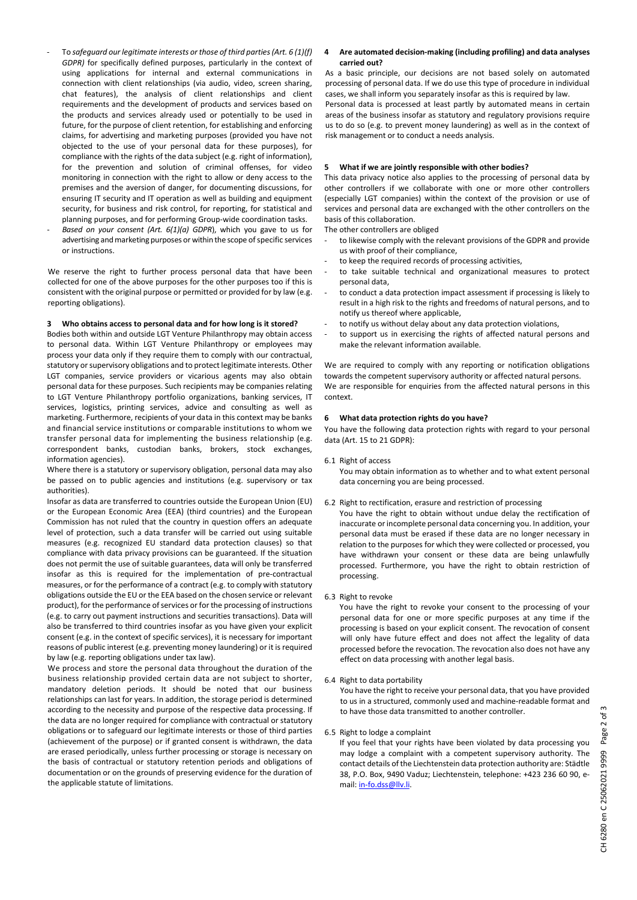- To *safeguard our legitimate interests or those of third parties (Art. 6 (1)(f) GDPR)* for specifically defined purposes, particularly in the context of using applications for internal and external communications in connection with client relationships (via audio, video, screen sharing, chat features), the analysis of client relationships and client requirements and the development of products and services based on the products and services already used or potentially to be used in future, for the purpose of client retention, for establishing and enforcing claims, for advertising and marketing purposes (provided you have not objected to the use of your personal data for these purposes), for compliance with the rights of the data subject (e.g. right of information), for the prevention and solution of criminal offenses, for video monitoring in connection with the right to allow or deny access to the premises and the aversion of danger, for documenting discussions, for ensuring IT security and IT operation as well as building and equipment security, for business and risk control, for reporting, for statistical and planning purposes, and for performing Group-wide coordination tasks.
- Based on your consent (Art. 6(1)(a) GDPR), which you gave to us for advertising and marketing purposes or within the scope of specific services or instructions.

We reserve the right to further process personal data that have been collected for one of the above purposes for the other purposes too if this is consistent with the original purpose or permitted or provided for by law (e.g. reporting obligations).

## **3 Who obtains access to personal data and for how long is it stored?**

Bodies both within and outside LGT Venture Philanthropy may obtain access to personal data. Within LGT Venture Philanthropy or employees may process your data only if they require them to comply with our contractual, statutory or supervisory obligations and to protect legitimate interests. Other LGT companies, service providers or vicarious agents may also obtain personal data for these purposes. Such recipients may be companies relating to LGT Venture Philanthropy portfolio organizations, banking services, IT services, logistics, printing services, advice and consulting as well as marketing. Furthermore, recipients of your data in this context may be banks and financial service institutions or comparable institutions to whom we transfer personal data for implementing the business relationship (e.g. correspondent banks, custodian banks, brokers, stock exchanges, information agencies).

Where there is a statutory or supervisory obligation, personal data may also be passed on to public agencies and institutions (e.g. supervisory or tax authorities).

Insofar as data are transferred to countries outside the European Union (EU) or the European Economic Area (EEA) (third countries) and the European Commission has not ruled that the country in question offers an adequate level of protection, such a data transfer will be carried out using suitable measures (e.g. recognized EU standard data protection clauses) so that compliance with data privacy provisions can be guaranteed. If the situation does not permit the use of suitable guarantees, data will only be transferred insofar as this is required for the implementation of pre-contractual measures, or for the performance of a contract (e.g. to comply with statutory obligations outside the EU or the EEA based on the chosen service or relevant product), for the performance of services or for the processing of instructions (e.g. to carry out payment instructions and securities transactions). Data will also be transferred to third countries insofar as you have given your explicit consent (e.g. in the context of specific services), it is necessary for important reasons of public interest (e.g. preventing money laundering) or it is required by law (e.g. reporting obligations under tax law).

We process and store the personal data throughout the duration of the business relationship provided certain data are not subject to shorter, mandatory deletion periods. It should be noted that our business relationships can last for years. In addition, the storage period is determined according to the necessity and purpose of the respective data processing. If the data are no longer required for compliance with contractual or statutory obligations or to safeguard our legitimate interests or those of third parties (achievement of the purpose) or if granted consent is withdrawn, the data are erased periodically, unless further processing or storage is necessary on the basis of contractual or statutory retention periods and obligations of documentation or on the grounds of preserving evidence for the duration of the applicable statute of limitations.

#### **4 Are automated decision-making (including profiling) and data analyses carried out?**

As a basic principle, our decisions are not based solely on automated processing of personal data. If we do use this type of procedure in individual cases, we shall inform you separately insofar as this is required by law.

Personal data is processed at least partly by automated means in certain areas of the business insofar as statutory and regulatory provisions require us to do so (e.g. to prevent money laundering) as well as in the context of risk management or to conduct a needs analysis.

#### **5 What if we are jointly responsible with other bodies?**

This data privacy notice also applies to the processing of personal data by other controllers if we collaborate with one or more other controllers (especially LGT companies) within the context of the provision or use of services and personal data are exchanged with the other controllers on the basis of this collaboration.

The other controllers are obliged

- to likewise comply with the relevant provisions of the GDPR and provide us with proof of their compliance,
- to keep the required records of processing activities,
- to take suitable technical and organizational measures to protect personal data,
- to conduct a data protection impact assessment if processing is likely to result in a high risk to the rights and freedoms of natural persons, and to notify us thereof where applicable,
- to notify us without delay about any data protection violations,
- to support us in exercising the rights of affected natural persons and make the relevant information available.

We are required to comply with any reporting or notification obligations towards the competent supervisory authority or affected natural persons. We are responsible for enquiries from the affected natural persons in this context.

#### **6 What data protection rights do you have?**

You have the following data protection rights with regard to your personal data (Art. 15 to 21 GDPR):

6.1 Right of access

You may obtain information as to whether and to what extent personal data concerning you are being processed.

- 6.2 Right to rectification, erasure and restriction of processing
- You have the right to obtain without undue delay the rectification of inaccurate or incomplete personal data concerning you. In addition, your personal data must be erased if these data are no longer necessary in relation to the purposes for which they were collected or processed, you have withdrawn your consent or these data are being unlawfully processed. Furthermore, you have the right to obtain restriction of processing.

#### 6.3 Right to revoke

You have the right to revoke your consent to the processing of your personal data for one or more specific purposes at any time if the processing is based on your explicit consent. The revocation of consent will only have future effect and does not affect the legality of data processed before the revocation. The revocation also does not have any effect on data processing with another legal basis.

6.4 Right to data portability

You have the right to receive your personal data, that you have provided to us in a structured, commonly used and machine-readable format and to have those data transmitted to another controller.

6.5 Right to lodge a complaint

If you feel that your rights have been violated by data processing you may lodge a complaint with a competent supervisory authority. The contact details of the Liechtenstein data protection authority are: Städtle 38, P.O. Box, 9490 Vaduz; Liechtenstein, telephone: +423 236 60 90, e-mail[: in-fo.dss@llv.li.](mailto:in-fo.dss@llv.li)